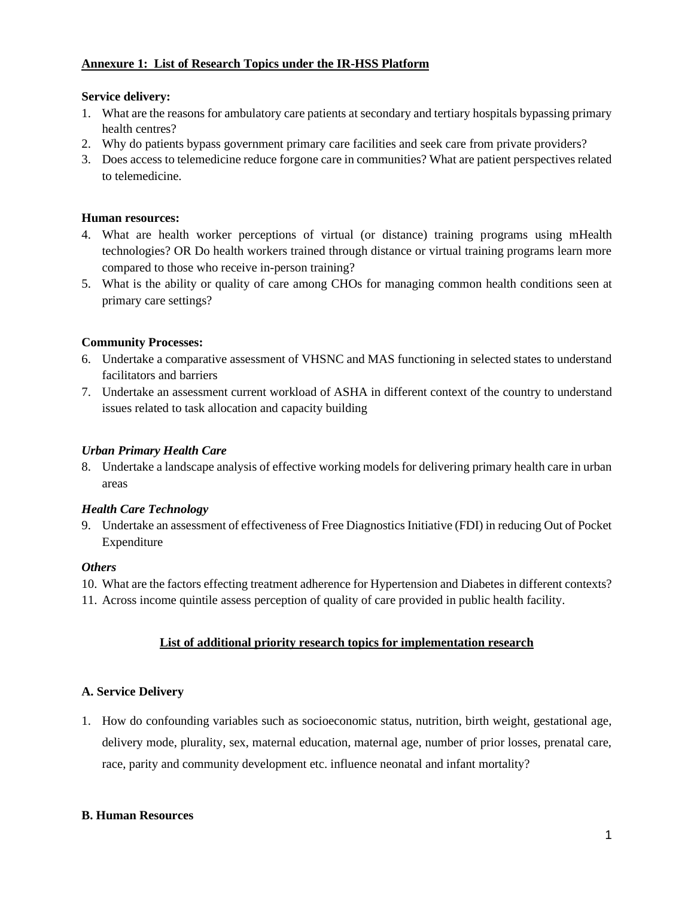#### **Annexure 1: List of Research Topics under the IR-HSS Platform**

### **Service delivery:**

- 1. What are the reasons for ambulatory care patients at secondary and tertiary hospitals bypassing primary health centres?
- 2. Why do patients bypass government primary care facilities and seek care from private providers?
- 3. Does access to telemedicine reduce forgone care in communities? What are patient perspectives related to telemedicine.

### **Human resources:**

- 4. What are health worker perceptions of virtual (or distance) training programs using mHealth technologies? OR Do health workers trained through distance or virtual training programs learn more compared to those who receive in-person training?
- 5. What is the ability or quality of care among CHOs for managing common health conditions seen at primary care settings?

## **Community Processes:**

- 6. Undertake a comparative assessment of VHSNC and MAS functioning in selected states to understand facilitators and barriers
- 7. Undertake an assessment current workload of ASHA in different context of the country to understand issues related to task allocation and capacity building

### *Urban Primary Health Care*

8. Undertake a landscape analysis of effective working models for delivering primary health care in urban areas

#### *Health Care Technology*

9. Undertake an assessment of effectiveness of Free Diagnostics Initiative (FDI) in reducing Out of Pocket Expenditure

#### *Others*

- 10. What are the factors effecting treatment adherence for Hypertension and Diabetes in different contexts?
- 11. Across income quintile assess perception of quality of care provided in public health facility.

## **List of additional priority research topics for implementation research**

## **A. Service Delivery**

1. How do confounding variables such as socioeconomic status, nutrition, birth weight, gestational age, delivery mode, plurality, sex, maternal education, maternal age, number of prior losses, prenatal care, race, parity and community development etc. influence neonatal and infant mortality?

#### **B. Human Resources**